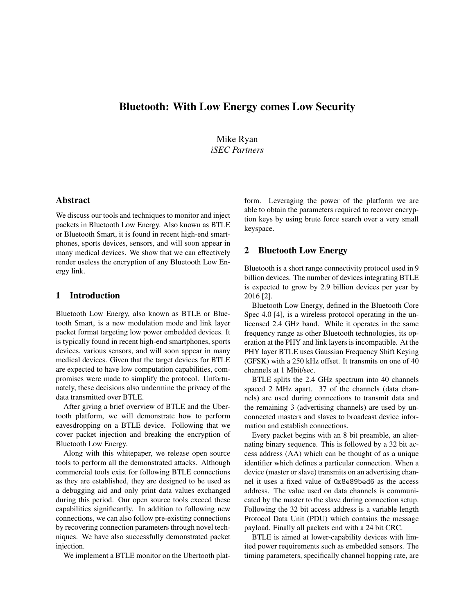# Bluetooth: With Low Energy comes Low Security

Mike Ryan *iSEC Partners*

#### Abstract

We discuss our tools and techniques to monitor and inject packets in Bluetooth Low Energy. Also known as BTLE or Bluetooth Smart, it is found in recent high-end smartphones, sports devices, sensors, and will soon appear in many medical devices. We show that we can effectively render useless the encryption of any Bluetooth Low Energy link.

## 1 Introduction

Bluetooth Low Energy, also known as BTLE or Bluetooth Smart, is a new modulation mode and link layer packet format targeting low power embedded devices. It is typically found in recent high-end smartphones, sports devices, various sensors, and will soon appear in many medical devices. Given that the target devices for BTLE are expected to have low computation capabilities, compromises were made to simplify the protocol. Unfortunately, these decisions also undermine the privacy of the data transmitted over BTLE.

After giving a brief overview of BTLE and the Ubertooth platform, we will demonstrate how to perform eavesdropping on a BTLE device. Following that we cover packet injection and breaking the encryption of Bluetooth Low Energy.

Along with this whitepaper, we release open source tools to perform all the demonstrated attacks. Although commercial tools exist for following BTLE connections as they are established, they are designed to be used as a debugging aid and only print data values exchanged during this period. Our open source tools exceed these capabilities significantly. In addition to following new connections, we can also follow pre-existing connections by recovering connection parameters through novel techniques. We have also successfully demonstrated packet injection.

We implement a BTLE monitor on the Ubertooth plat-

form. Leveraging the power of the platform we are able to obtain the parameters required to recover encryption keys by using brute force search over a very small keyspace.

#### 2 Bluetooth Low Energy

Bluetooth is a short range connectivity protocol used in 9 billion devices. The number of devices integrating BTLE is expected to grow by 2.9 billion devices per year by 2016 [2].

Bluetooth Low Energy, defined in the Bluetooth Core Spec 4.0 [4], is a wireless protocol operating in the unlicensed 2.4 GHz band. While it operates in the same frequency range as other Bluetooth technologies, its operation at the PHY and link layers is incompatible. At the PHY layer BTLE uses Gaussian Frequency Shift Keying (GFSK) with a 250 kHz offset. It transmits on one of 40 channels at 1 Mbit/sec.

BTLE splits the 2.4 GHz spectrum into 40 channels spaced 2 MHz apart. 37 of the channels (data channels) are used during connections to transmit data and the remaining 3 (advertising channels) are used by unconnected masters and slaves to broadcast device information and establish connections.

Every packet begins with an 8 bit preamble, an alternating binary sequence. This is followed by a 32 bit access address (AA) which can be thought of as a unique identifier which defines a particular connection. When a device (master or slave) transmits on an advertising channel it uses a fixed value of 0x8e89bed6 as the access address. The value used on data channels is communicated by the master to the slave during connection setup. Following the 32 bit access address is a variable length Protocol Data Unit (PDU) which contains the message payload. Finally all packets end with a 24 bit CRC.

BTLE is aimed at lower-capability devices with limited power requirements such as embedded sensors. The timing parameters, specifically channel hopping rate, are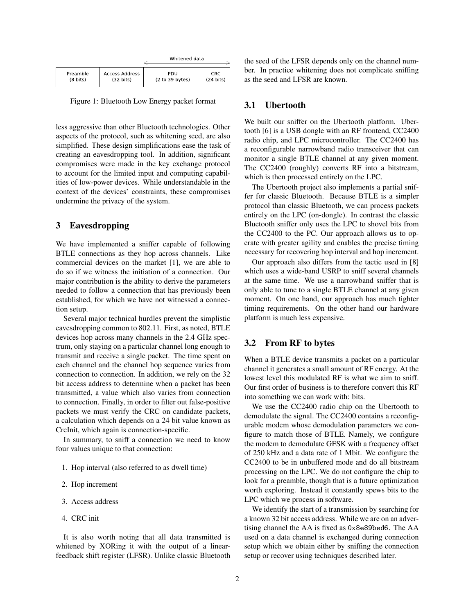|                    |                     | Whitened data   |                     |  |
|--------------------|---------------------|-----------------|---------------------|--|
| Preamble           | Access Address      | PDU             | <b>CRC</b>          |  |
| $(8 \text{ bits})$ | $(32 \text{ bits})$ | (2 to 39 bytes) | $(24 \text{ bits})$ |  |

Figure 1: Bluetooth Low Energy packet format

less aggressive than other Bluetooth technologies. Other aspects of the protocol, such as whitening seed, are also simplified. These design simplifications ease the task of creating an eavesdropping tool. In addition, significant compromises were made in the key exchange protocol to account for the limited input and computing capabilities of low-power devices. While understandable in the context of the devices' constraints, these compromises undermine the privacy of the system.

## 3 Eavesdropping

We have implemented a sniffer capable of following BTLE connections as they hop across channels. Like commercial devices on the market [1], we are able to do so if we witness the initiation of a connection. Our major contribution is the ability to derive the parameters needed to follow a connection that has previously been established, for which we have not witnessed a connection setup.

Several major technical hurdles prevent the simplistic eavesdropping common to 802.11. First, as noted, BTLE devices hop across many channels in the 2.4 GHz spectrum, only staying on a particular channel long enough to transmit and receive a single packet. The time spent on each channel and the channel hop sequence varies from connection to connection. In addition, we rely on the 32 bit access address to determine when a packet has been transmitted, a value which also varies from connection to connection. Finally, in order to filter out false-positive packets we must verify the CRC on candidate packets, a calculation which depends on a 24 bit value known as CrcInit, which again is connection-specific.

In summary, to sniff a connection we need to know four values unique to that connection:

- 1. Hop interval (also referred to as dwell time)
- 2. Hop increment
- 3. Access address
- 4. CRC init

It is also worth noting that all data transmitted is whitened by XORing it with the output of a linearfeedback shift register (LFSR). Unlike classic Bluetooth the seed of the LFSR depends only on the channel number. In practice whitening does not complicate sniffing as the seed and LFSR are known.

#### 3.1 Ubertooth

We built our sniffer on the Ubertooth platform. Ubertooth [6] is a USB dongle with an RF frontend, CC2400 radio chip, and LPC microcontroller. The CC2400 has a reconfigurable narrowband radio transceiver that can monitor a single BTLE channel at any given moment. The CC2400 (roughly) converts RF into a bitstream, which is then processed entirely on the LPC.

The Ubertooth project also implements a partial sniffer for classic Bluetooth. Because BTLE is a simpler protocol than classic Bluetooth, we can process packets entirely on the LPC (on-dongle). In contrast the classic Bluetooth sniffer only uses the LPC to shovel bits from the CC2400 to the PC. Our approach allows us to operate with greater agility and enables the precise timing necessary for recovering hop interval and hop increment.

Our approach also differs from the tactic used in [8] which uses a wide-band USRP to sniff several channels at the same time. We use a narrowband sniffer that is only able to tune to a single BTLE channel at any given moment. On one hand, our approach has much tighter timing requirements. On the other hand our hardware platform is much less expensive.

#### 3.2 From RF to bytes

When a BTLE device transmits a packet on a particular channel it generates a small amount of RF energy. At the lowest level this modulated RF is what we aim to sniff. Our first order of business is to therefore convert this RF into something we can work with: bits.

We use the CC2400 radio chip on the Ubertooth to demodulate the signal. The CC2400 contains a reconfigurable modem whose demodulation parameters we configure to match those of BTLE. Namely, we configure the modem to demodulate GFSK with a frequency offset of 250 kHz and a data rate of 1 Mbit. We configure the CC2400 to be in unbuffered mode and do all bitstream processing on the LPC. We do not configure the chip to look for a preamble, though that is a future optimization worth exploring. Instead it constantly spews bits to the LPC which we process in software.

We identify the start of a transmission by searching for a known 32 bit access address. While we are on an advertising channel the AA is fixed as 0x8e89bed6. The AA used on a data channel is exchanged during connection setup which we obtain either by sniffing the connection setup or recover using techniques described later.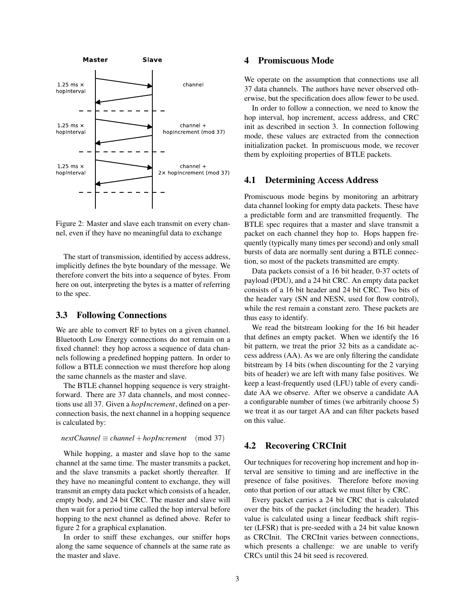

Figure 2: Master and slave each transmit on every channel, even if they have no meaningful data to exchange

The start of transmission, identified by access address, implicitly defines the byte boundary of the message. We therefore convert the bits into a sequence of bytes. From here on out, interpreting the bytes is a matter of referring to the spec.

## 3.3 Following Connections

We are able to convert RF to bytes on a given channel. Bluetooth Low Energy connections do not remain on a fixed channel: they hop across a sequence of data channels following a predefined hopping pattern. In order to follow a BTLE connection we must therefore hop along the same channels as the master and slave.

The BTLE channel hopping sequence is very straightforward. There are 37 data channels, and most connections use all 37. Given a *hopIncrement*, defined on a perconnection basis, the next channel in a hopping sequence is calculated by:

$$
nextChannel \equiv channel + hopIncrement \pmod{37}
$$

While hopping, a master and slave hop to the same channel at the same time. The master transmits a packet, and the slave transmits a packet shortly thereafter. If they have no meaningful content to exchange, they will transmit an empty data packet which consists of a header, empty body, and 24 bit CRC. The master and slave will then wait for a period time called the hop interval before hopping to the next channel as defined above. Refer to figure 2 for a graphical explanation.

In order to sniff these exchanges, our sniffer hops along the same sequence of channels at the same rate as the master and slave.

### 4 Promiscuous Mode

We operate on the assumption that connections use all 37 data channels. The authors have never observed otherwise, but the specification does allow fewer to be used.

In order to follow a connection, we need to know the hop interval, hop increment, access address, and CRC init as described in section 3. In connection following mode, these values are extracted from the connection initialization packet. In promiscuous mode, we recover them by exploiting properties of BTLE packets.

#### 4.1 Determining Access Address

Promiscuous mode begins by monitoring an arbitrary data channel looking for empty data packets. These have a predictable form and are transmitted frequently. The BTLE spec requires that a master and slave transmit a packet on each channel they hop to. Hops happen frequently (typically many times per second) and only small bursts of data are normally sent during a BTLE connection, so most of the packets transmitted are empty.

Data packets consist of a 16 bit header, 0-37 octets of payload (PDU), and a 24 bit CRC. An empty data packet consists of a 16 bit header and 24 bit CRC. Two bits of the header vary (SN and NESN, used for flow control), while the rest remain a constant zero. These packets are thus easy to identify.

We read the bitstream looking for the 16 bit header that defines an empty packet. When we identify the 16 bit pattern, we treat the prior 32 bits as a candidate access address (AA). As we are only filtering the candidate bitstream by 14 bits (when discounting for the 2 varying bits of header) we are left with many false positives. We keep a least-frequently used (LFU) table of every candidate AA we observe. After we observe a candidate AA a configurable number of times (we arbitrarily choose 5) we treat it as our target AA and can filter packets based on this value.

### 4.2 Recovering CRCInit

Our techniques for recovering hop increment and hop interval are sensitive to timing and are ineffective in the presence of false positives. Therefore before moving onto that portion of our attack we must filter by CRC.

Every packet carries a 24 bit CRC that is calculated over the bits of the packet (including the header). This value is calculated using a linear feedback shift register (LFSR) that is pre-seeded with a 24 bit value known as CRCInit. The CRCInit varies between connections, which presents a challenge: we are unable to verify CRCs until this 24 bit seed is recovered.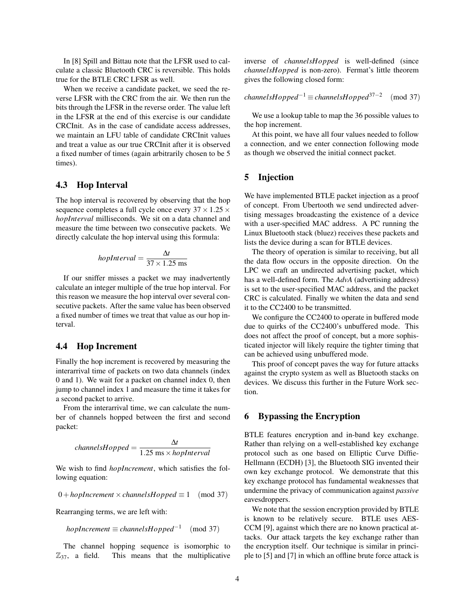In [8] Spill and Bittau note that the LFSR used to calculate a classic Bluetooth CRC is reversible. This holds true for the BTLE CRC LFSR as well.

When we receive a candidate packet, we seed the reverse LFSR with the CRC from the air. We then run the bits through the LFSR in the reverse order. The value left in the LFSR at the end of this exercise is our candidate CRCInit. As in the case of candidate access addresses, we maintain an LFU table of candidate CRCInit values and treat a value as our true CRCInit after it is observed a fixed number of times (again arbitrarily chosen to be 5 times).

### 4.3 Hop Interval

The hop interval is recovered by observing that the hop sequence completes a full cycle once every  $37 \times 1.25 \times$ *hopInterval* milliseconds. We sit on a data channel and measure the time between two consecutive packets. We directly calculate the hop interval using this formula:

$$
hopInterval = \frac{\Delta t}{37 \times 1.25 \text{ ms}}
$$

If our sniffer misses a packet we may inadvertently calculate an integer multiple of the true hop interval. For this reason we measure the hop interval over several consecutive packets. After the same value has been observed a fixed number of times we treat that value as our hop interval.

#### 4.4 Hop Increment

Finally the hop increment is recovered by measuring the interarrival time of packets on two data channels (index 0 and 1). We wait for a packet on channel index 0, then jump to channel index 1 and measure the time it takes for a second packet to arrive.

From the interarrival time, we can calculate the number of channels hopped between the first and second packet:

$$
channels Hopped = \frac{\Delta t}{1.25 \text{ ms} \times hopInterval}
$$

We wish to find *hopIncrement*, which satisfies the following equation:

$$
0 + hopIncrement \times channelsHopped \equiv 1 \pmod{37}
$$

Rearranging terms, we are left with:

$$
hopIncrement \equiv channelsHopped^{-1} \pmod{37}
$$

The channel hopping sequence is isomorphic to  $\mathbb{Z}_{37}$ , a field. This means that the multiplicative inverse of *channelsHopped* is well-defined (since *channelsHopped* is non-zero). Fermat's little theorem gives the following closed form:

$$
channels Hopped^{-1} \equiv channels Hopped^{37-2} \pmod{37}
$$

We use a lookup table to map the 36 possible values to the hop increment.

At this point, we have all four values needed to follow a connection, and we enter connection following mode as though we observed the initial connect packet.

### 5 Injection

We have implemented BTLE packet injection as a proof of concept. From Ubertooth we send undirected advertising messages broadcasting the existence of a device with a user-specified MAC address. A PC running the Linux Bluetooth stack (bluez) receives these packets and lists the device during a scan for BTLE devices.

The theory of operation is similar to receiving, but all the data flow occurs in the opposite direction. On the LPC we craft an undirected advertising packet, which has a well-defined form. The *AdvA* (advertising address) is set to the user-specified MAC address, and the packet CRC is calculated. Finally we whiten the data and send it to the CC2400 to be transmitted.

We configure the CC2400 to operate in buffered mode due to quirks of the CC2400's unbuffered mode. This does not affect the proof of concept, but a more sophisticated injector will likely require the tighter timing that can be achieved using unbuffered mode.

This proof of concept paves the way for future attacks against the crypto system as well as Bluetooth stacks on devices. We discuss this further in the Future Work section.

### 6 Bypassing the Encryption

BTLE features encryption and in-band key exchange. Rather than relying on a well-established key exchange protocol such as one based on Elliptic Curve Diffie-Hellmann (ECDH) [3], the Bluetooth SIG invented their own key exchange protocol. We demonstrate that this key exchange protocol has fundamental weaknesses that undermine the privacy of communication against *passive* eavesdroppers.

We note that the session encryption provided by BTLE is known to be relatively secure. BTLE uses AES-CCM [9], against which there are no known practical attacks. Our attack targets the key exchange rather than the encryption itself. Our technique is similar in principle to [5] and [7] in which an offline brute force attack is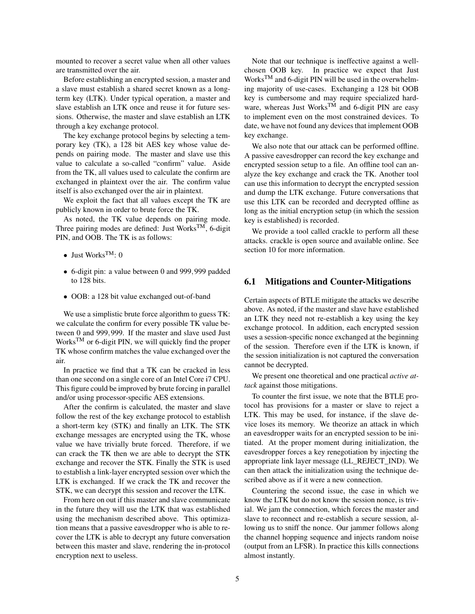mounted to recover a secret value when all other values are transmitted over the air.

Before establishing an encrypted session, a master and a slave must establish a shared secret known as a longterm key (LTK). Under typical operation, a master and slave establish an LTK once and reuse it for future sessions. Otherwise, the master and slave establish an LTK through a key exchange protocol.

The key exchange protocol begins by selecting a temporary key (TK), a 128 bit AES key whose value depends on pairing mode. The master and slave use this value to calculate a so-called "confirm" value. Aside from the TK, all values used to calculate the confirm are exchanged in plaintext over the air. The confirm value itself is also exchanged over the air in plaintext.

We exploit the fact that all values except the TK are publicly known in order to brute force the TK.

As noted, the TK value depends on pairing mode. Three pairing modes are defined: Just Works<sup>TM</sup>, 6-digit PIN, and OOB. The TK is as follows:

- Just Works<sup>TM</sup>:  $0$
- 6-digit pin: a value between 0 and 999,999 padded to 128 bits.
- OOB: a 128 bit value exchanged out-of-band

We use a simplistic brute force algorithm to guess TK: we calculate the confirm for every possible TK value between 0 and 999,999. If the master and slave used Just Works<sup>TM</sup> or 6-digit PIN, we will quickly find the proper TK whose confirm matches the value exchanged over the air.

In practice we find that a TK can be cracked in less than one second on a single core of an Intel Core i7 CPU. This figure could be improved by brute forcing in parallel and/or using processor-specific AES extensions.

After the confirm is calculated, the master and slave follow the rest of the key exchange protocol to establish a short-term key (STK) and finally an LTK. The STK exchange messages are encrypted using the TK, whose value we have trivially brute forced. Therefore, if we can crack the TK then we are able to decrypt the STK exchange and recover the STK. Finally the STK is used to establish a link-layer encrypted session over which the LTK is exchanged. If we crack the TK and recover the STK, we can decrypt this session and recover the LTK.

From here on out if this master and slave communicate in the future they will use the LTK that was established using the mechanism described above. This optimization means that a passive eavesdropper who is able to recover the LTK is able to decrypt any future conversation between this master and slave, rendering the in-protocol encryption next to useless.

Note that our technique is ineffective against a wellchosen OOB key. In practice we expect that Just Works<sup>TM</sup> and 6-digit PIN will be used in the overwhelming majority of use-cases. Exchanging a 128 bit OOB key is cumbersome and may require specialized hardware, whereas Just Works<sup>TM</sup> and 6-digit PIN are easy to implement even on the most constrained devices. To date, we have not found any devices that implement OOB key exchange.

We also note that our attack can be performed offline. A passive eavesdropper can record the key exchange and encrypted session setup to a file. An offline tool can analyze the key exchange and crack the TK. Another tool can use this information to decrypt the encrypted session and dump the LTK exchange. Future conversations that use this LTK can be recorded and decrypted offline as long as the initial encryption setup (in which the session key is established) is recorded.

We provide a tool called crackle to perform all these attacks. crackle is open source and available online. See section 10 for more information.

### 6.1 Mitigations and Counter-Mitigations

Certain aspects of BTLE mitigate the attacks we describe above. As noted, if the master and slave have established an LTK they need not re-establish a key using the key exchange protocol. In addition, each encrypted session uses a session-specific nonce exchanged at the beginning of the session. Therefore even if the LTK is known, if the session initialization is not captured the conversation cannot be decrypted.

We present one theoretical and one practical *active attack* against those mitigations.

To counter the first issue, we note that the BTLE protocol has provisions for a master or slave to reject a LTK. This may be used, for instance, if the slave device loses its memory. We theorize an attack in which an eavesdropper waits for an encrypted session to be initiated. At the proper moment during initialization, the eavesdropper forces a key renegotiation by injecting the appropriate link layer message (LL\_REJECT\_IND). We can then attack the initialization using the technique described above as if it were a new connection.

Countering the second issue, the case in which we know the LTK but do not know the session nonce, is trivial. We jam the connection, which forces the master and slave to reconnect and re-establish a secure session, allowing us to sniff the nonce. Our jammer follows along the channel hopping sequence and injects random noise (output from an LFSR). In practice this kills connections almost instantly.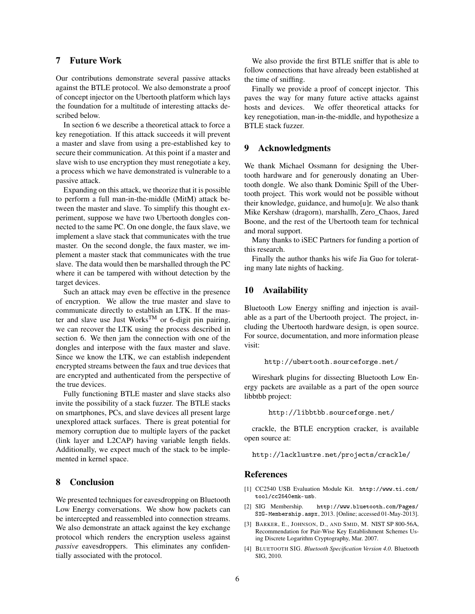## 7 Future Work

Our contributions demonstrate several passive attacks against the BTLE protocol. We also demonstrate a proof of concept injector on the Ubertooth platform which lays the foundation for a multitude of interesting attacks described below.

In section 6 we describe a theoretical attack to force a key renegotiation. If this attack succeeds it will prevent a master and slave from using a pre-established key to secure their communication. At this point if a master and slave wish to use encryption they must renegotiate a key, a process which we have demonstrated is vulnerable to a passive attack.

Expanding on this attack, we theorize that it is possible to perform a full man-in-the-middle (MitM) attack between the master and slave. To simplify this thought experiment, suppose we have two Ubertooth dongles connected to the same PC. On one dongle, the faux slave, we implement a slave stack that communicates with the true master. On the second dongle, the faux master, we implement a master stack that communicates with the true slave. The data would then be marshalled through the PC where it can be tampered with without detection by the target devices.

Such an attack may even be effective in the presence of encryption. We allow the true master and slave to communicate directly to establish an LTK. If the master and slave use Just Works<sup>TM</sup> or 6-digit pin pairing, we can recover the LTK using the process described in section 6. We then jam the connection with one of the dongles and interpose with the faux master and slave. Since we know the LTK, we can establish independent encrypted streams between the faux and true devices that are encrypted and authenticated from the perspective of the true devices.

Fully functioning BTLE master and slave stacks also invite the possibility of a stack fuzzer. The BTLE stacks on smartphones, PCs, and slave devices all present large unexplored attack surfaces. There is great potential for memory corruption due to multiple layers of the packet (link layer and L2CAP) having variable length fields. Additionally, we expect much of the stack to be implemented in kernel space.

## 8 Conclusion

We presented techniques for eavesdropping on Bluetooth Low Energy conversations. We show how packets can be intercepted and reassembled into connection streams. We also demonstrate an attack against the key exchange protocol which renders the encryption useless against *passive* eavesdroppers. This eliminates any confidentially associated with the protocol.

We also provide the first BTLE sniffer that is able to follow connections that have already been established at the time of sniffing.

Finally we provide a proof of concept injector. This paves the way for many future active attacks against hosts and devices. We offer theoretical attacks for key renegotiation, man-in-the-middle, and hypothesize a BTLE stack fuzzer.

#### 9 Acknowledgments

We thank Michael Ossmann for designing the Ubertooth hardware and for generously donating an Ubertooth dongle. We also thank Dominic Spill of the Ubertooth project. This work would not be possible without their knowledge, guidance, and humo[u]r. We also thank Mike Kershaw (dragorn), marshallh, Zero\_Chaos, Jared Boone, and the rest of the Ubertooth team for technical and moral support.

Many thanks to iSEC Partners for funding a portion of this research.

Finally the author thanks his wife Jia Guo for tolerating many late nights of hacking.

### 10 Availability

Bluetooth Low Energy sniffing and injection is available as a part of the Ubertooth project. The project, including the Ubertooth hardware design, is open source. For source, documentation, and more information please visit:

http://ubertooth.sourceforge.net/

Wireshark plugins for dissecting Bluetooth Low Energy packets are available as a part of the open source libbtbb project:

http://libbtbb.sourceforge.net/

crackle, the BTLE encryption cracker, is available open source at:

```
http://lacklustre.net/projects/crackle/
```
#### References

- [1] CC2540 USB Evaluation Module Kit. http://www.ti.com/ tool/cc2540emk-usb.
- [2] SIG Membership. http://www.bluetooth.com/Pages/ SIG-Membership.aspx, 2013. [Online; accessed 01-May-2013].
- [3] BARKER, E., JOHNSON, D., AND SMID, M. NIST SP 800-56A, Recommendation for Pair-Wise Key Establishment Schemes Using Discrete Logarithm Cryptography, Mar. 2007.
- [4] BLUETOOTH SIG. *Bluetooth Specification Version 4.0*. Bluetooth SIG, 2010.